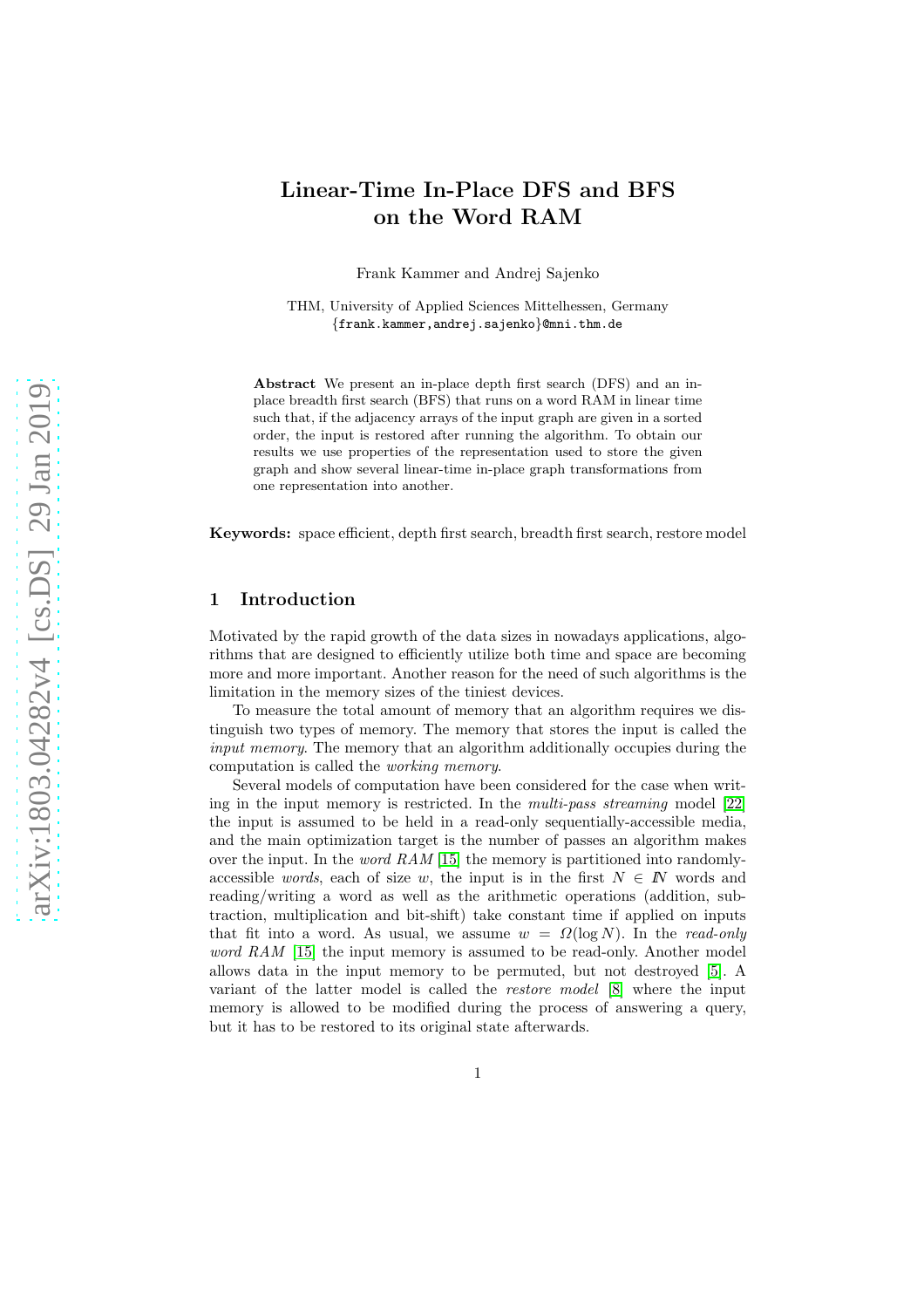# Linear-Time In-Place DFS and BFS on the Word RAM

Frank Kammer and Andrej Sajenko

THM, University of Applied Sciences Mittelhessen, Germany {frank.kammer,andrej.sajenko}@mni.thm.de

Abstract We present an in-place depth first search (DFS) and an inplace breadth first search (BFS) that runs on a word RAM in linear time such that, if the adjacency arrays of the input graph are given in a sorted order, the input is restored after running the algorithm. To obtain our results we use properties of the representation used to store the given graph and show several linear-time in-place graph transformations from one representation into another.

Keywords: space efficient, depth first search, breadth first search, restore model

### 1 Introduction

Motivated by the rapid growth of the data sizes in nowadays applications, algorithms that are designed to efficiently utilize both time and space are becoming more and more important. Another reason for the need of such algorithms is the limitation in the memory sizes of the tiniest devices.

To measure the total amount of memory that an algorithm requires we distinguish two types of memory. The memory that stores the input is called the input memory. The memory that an algorithm additionally occupies during the computation is called the working memory.

Several models of computation have been considered for the case when writing in the input memory is restricted. In the multi-pass streaming model [\[22\]](#page-16-0) the input is assumed to be held in a read-only sequentially-accessible media, and the main optimization target is the number of passes an algorithm makes over the input. In the *word RAM* [\[15\]](#page-16-1) the memory is partitioned into randomlyaccessible *words*, each of size w, the input is in the first  $N \in \mathbb{N}$  words and reading/writing a word as well as the arithmetic operations (addition, subtraction, multiplication and bit-shift) take constant time if applied on inputs that fit into a word. As usual, we assume  $w = \Omega(\log N)$ . In the read-only word RAM [\[15\]](#page-16-1) the input memory is assumed to be read-only. Another model allows data in the input memory to be permuted, but not destroyed [\[5\]](#page-15-0). A variant of the latter model is called the restore model [\[8\]](#page-15-1) where the input memory is allowed to be modified during the process of answering a query, but it has to be restored to its original state afterwards.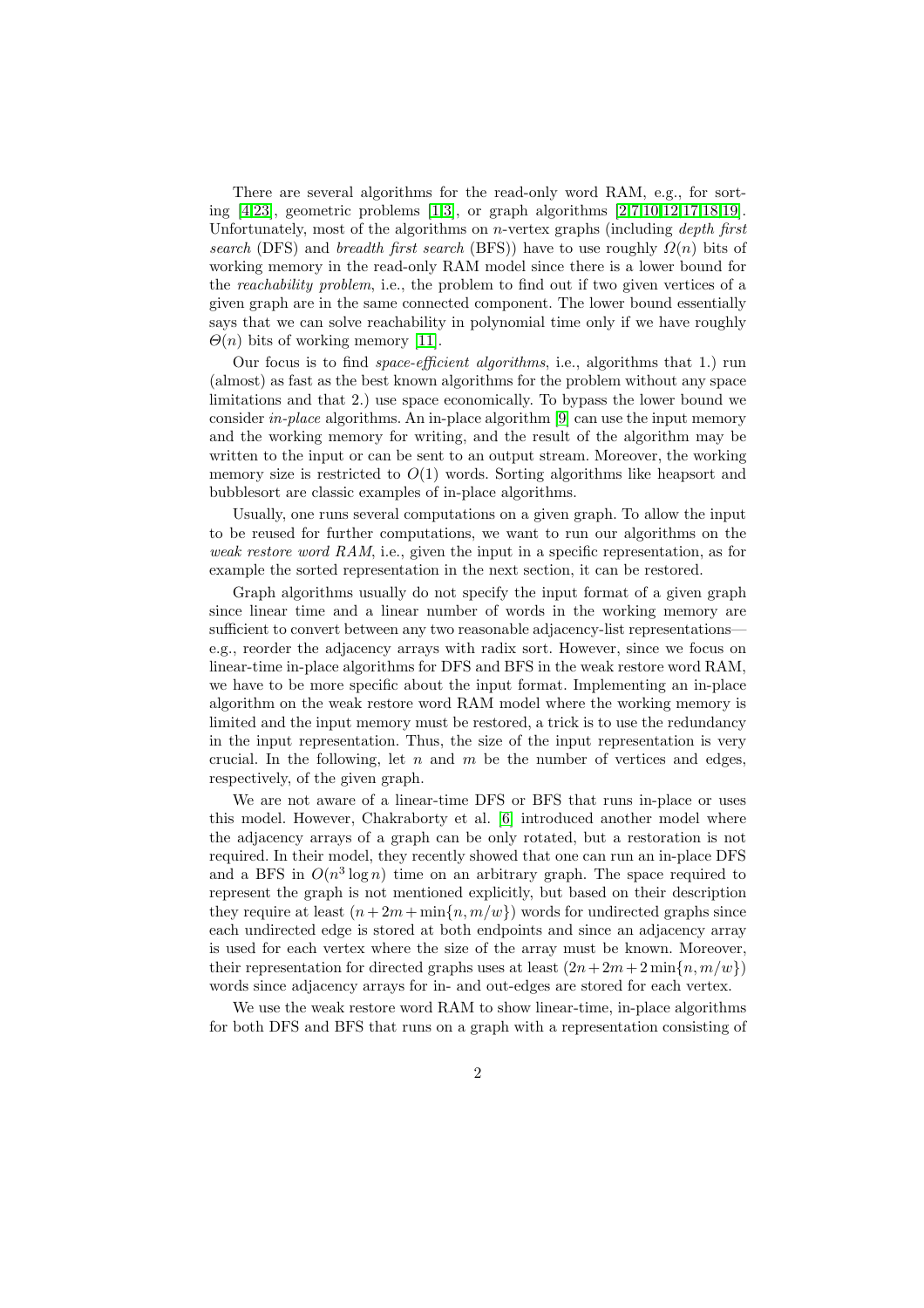There are several algorithms for the read-only word RAM, e.g., for sorting [\[4](#page-15-2)[,23\]](#page-16-2), geometric problems [\[1,](#page-15-3)[3\]](#page-15-4), or graph algorithms [\[2](#page-15-5)[,7](#page-15-6)[,10,](#page-16-3)[12,](#page-16-4)[17](#page-16-5)[,18](#page-16-6)[,19\]](#page-16-7). Unfortunately, most of the algorithms on  $n$ -vertex graphs (including *depth first* search (DFS) and breadth first search (BFS)) have to use roughly  $\Omega(n)$  bits of working memory in the read-only RAM model since there is a lower bound for the reachability problem, i.e., the problem to find out if two given vertices of a given graph are in the same connected component. The lower bound essentially says that we can solve reachability in polynomial time only if we have roughly  $\Theta(n)$  bits of working memory [\[11\]](#page-16-8).

Our focus is to find space-efficient algorithms, i.e., algorithms that 1.) run (almost) as fast as the best known algorithms for the problem without any space limitations and that 2.) use space economically. To bypass the lower bound we consider in-place algorithms. An in-place algorithm  $[9]$  can use the input memory and the working memory for writing, and the result of the algorithm may be written to the input or can be sent to an output stream. Moreover, the working memory size is restricted to  $O(1)$  words. Sorting algorithms like heapsort and bubblesort are classic examples of in-place algorithms.

Usually, one runs several computations on a given graph. To allow the input to be reused for further computations, we want to run our algorithms on the weak restore word RAM, i.e., given the input in a specific representation, as for example the sorted representation in the next section, it can be restored.

Graph algorithms usually do not specify the input format of a given graph since linear time and a linear number of words in the working memory are sufficient to convert between any two reasonable adjacency-list representations e.g., reorder the adjacency arrays with radix sort. However, since we focus on linear-time in-place algorithms for DFS and BFS in the weak restore word RAM, we have to be more specific about the input format. Implementing an in-place algorithm on the weak restore word RAM model where the working memory is limited and the input memory must be restored, a trick is to use the redundancy in the input representation. Thus, the size of the input representation is very crucial. In the following, let n and m be the number of vertices and edges, respectively, of the given graph.

We are not aware of a linear-time DFS or BFS that runs in-place or uses this model. However, Chakraborty et al. [\[6\]](#page-15-7) introduced another model where the adjacency arrays of a graph can be only rotated, but a restoration is not required. In their model, they recently showed that one can run an in-place DFS and a BFS in  $O(n^3 \log n)$  time on an arbitrary graph. The space required to represent the graph is not mentioned explicitly, but based on their description they require at least  $(n+2m+\min\{n,m/w\})$  words for undirected graphs since each undirected edge is stored at both endpoints and since an adjacency array is used for each vertex where the size of the array must be known. Moreover, their representation for directed graphs uses at least  $(2n+2m+2\min\{n,m/w\})$ words since adjacency arrays for in- and out-edges are stored for each vertex.

We use the weak restore word RAM to show linear-time, in-place algorithms for both DFS and BFS that runs on a graph with a representation consisting of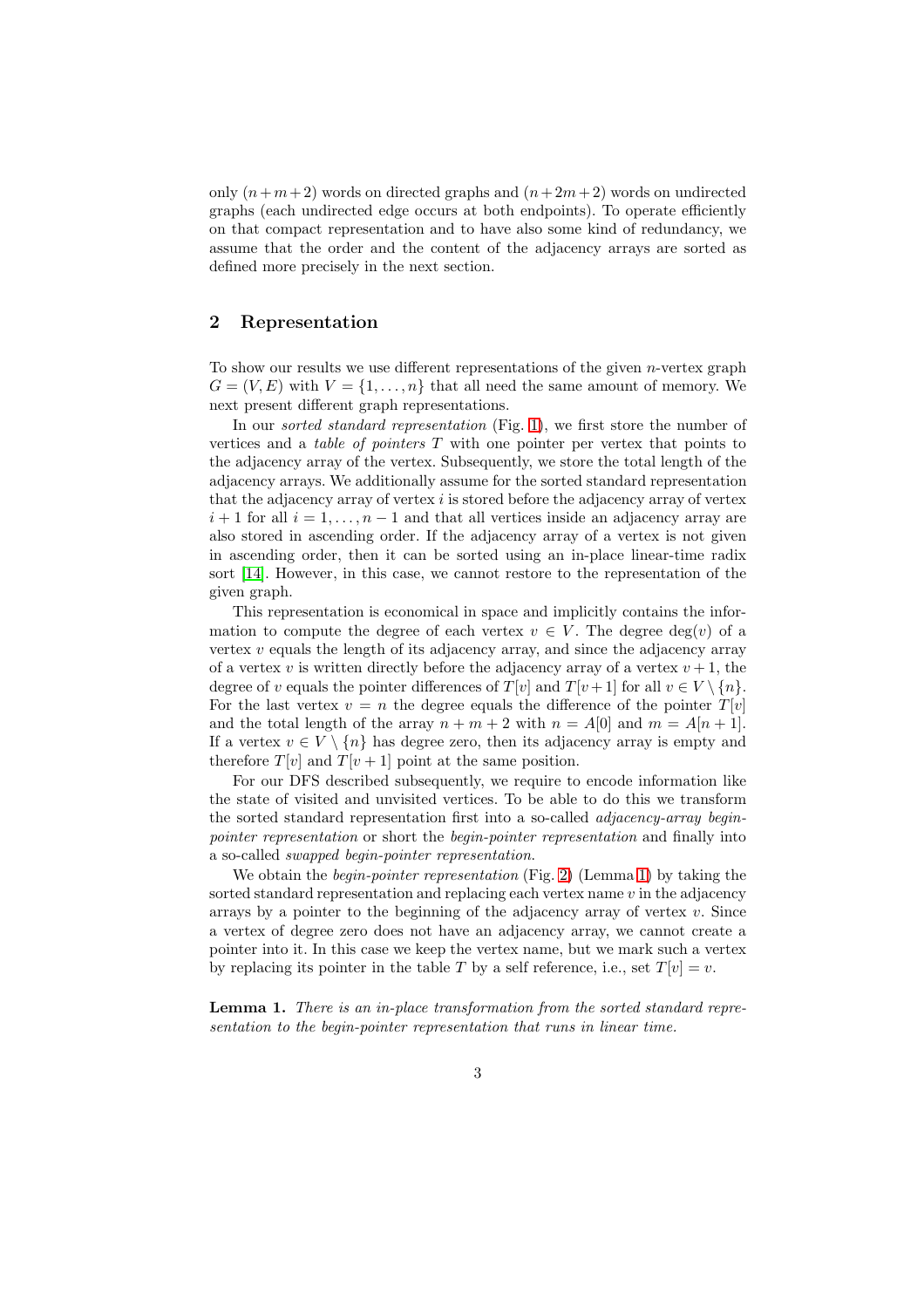only  $(n+m+2)$  words on directed graphs and  $(n+2m+2)$  words on undirected graphs (each undirected edge occurs at both endpoints). To operate efficiently on that compact representation and to have also some kind of redundancy, we assume that the order and the content of the adjacency arrays are sorted as defined more precisely in the next section.

## 2 Representation

To show our results we use different representations of the given  $n$ -vertex graph  $G = (V, E)$  with  $V = \{1, \ldots, n\}$  that all need the same amount of memory. We next present different graph representations.

In our sorted standard representation (Fig. [1\)](#page-3-0), we first store the number of vertices and a *table of pointers T* with one pointer per vertex that points to the adjacency array of the vertex. Subsequently, we store the total length of the adjacency arrays. We additionally assume for the sorted standard representation that the adjacency array of vertex  $i$  is stored before the adjacency array of vertex  $i+1$  for all  $i=1,\ldots,n-1$  and that all vertices inside an adjacency array are also stored in ascending order. If the adjacency array of a vertex is not given in ascending order, then it can be sorted using an in-place linear-time radix sort [\[14\]](#page-16-10). However, in this case, we cannot restore to the representation of the given graph.

This representation is economical in space and implicitly contains the information to compute the degree of each vertex  $v \in V$ . The degree deg(v) of a vertex  $v$  equals the length of its adjacency array, and since the adjacency array of a vertex v is written directly before the adjacency array of a vertex  $v + 1$ , the degree of v equals the pointer differences of  $T[v]$  and  $T[v+1]$  for all  $v \in V \setminus \{n\}$ . For the last vertex  $v = n$  the degree equals the difference of the pointer  $T[v]$ and the total length of the array  $n + m + 2$  with  $n = A[0]$  and  $m = A[n + 1]$ . If a vertex  $v \in V \setminus \{n\}$  has degree zero, then its adjacency array is empty and therefore  $T[v]$  and  $T[v+1]$  point at the same position.

For our DFS described subsequently, we require to encode information like the state of visited and unvisited vertices. To be able to do this we transform the sorted standard representation first into a so-called adjacency-array beginpointer representation or short the begin-pointer representation and finally into a so-called swapped begin-pointer representation.

We obtain the *begin-pointer representation* (Fig. [2\)](#page-3-1) (Lemma [1\)](#page-2-0) by taking the sorted standard representation and replacing each vertex name v in the adjacency arrays by a pointer to the beginning of the adjacency array of vertex  $v$ . Since a vertex of degree zero does not have an adjacency array, we cannot create a pointer into it. In this case we keep the vertex name, but we mark such a vertex by replacing its pointer in the table T by a self reference, i.e., set  $T[v] = v$ .

<span id="page-2-0"></span>Lemma 1. There is an in-place transformation from the sorted standard representation to the begin-pointer representation that runs in linear time.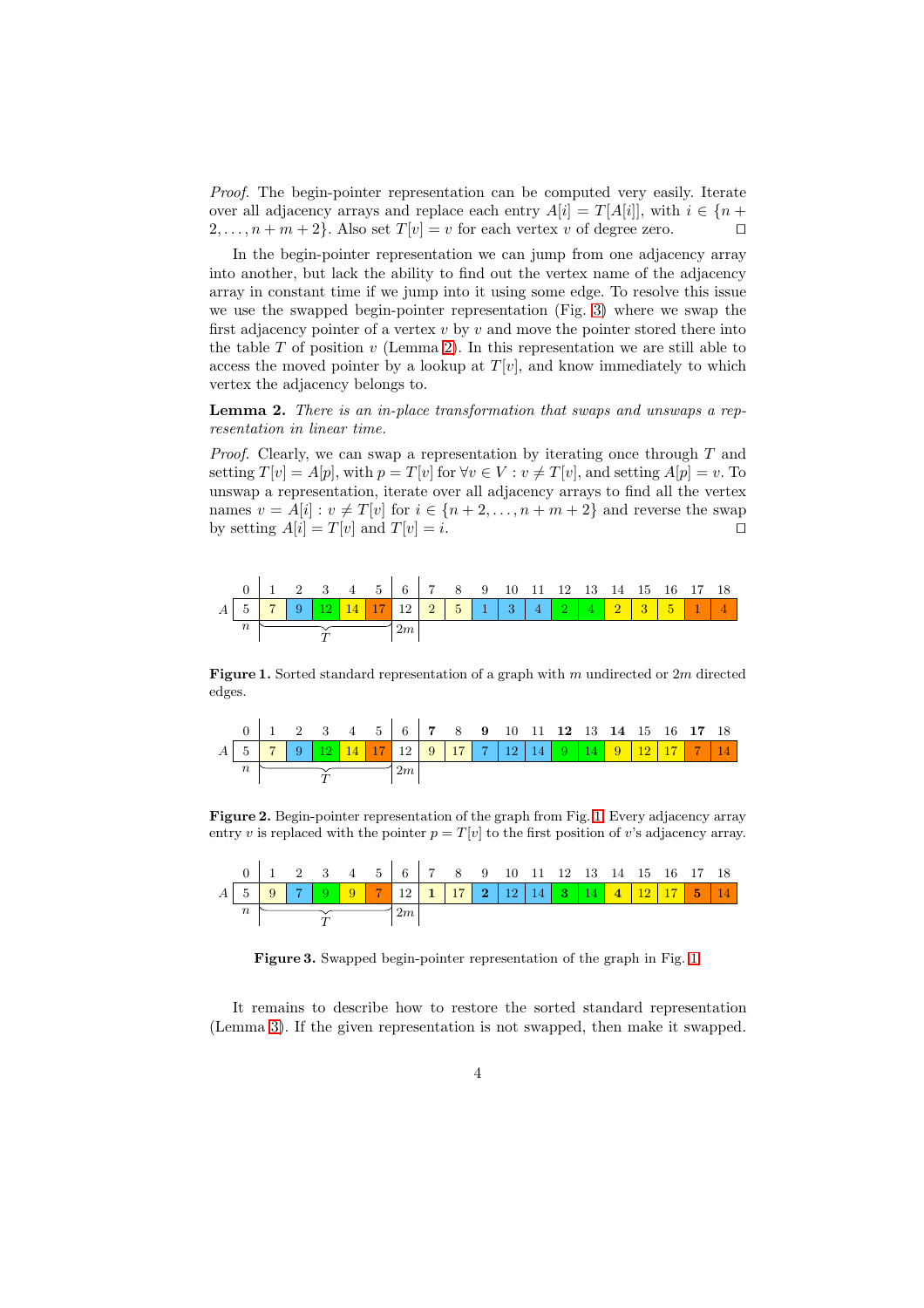Proof. The begin-pointer representation can be computed very easily. Iterate over all adjacency arrays and replace each entry  $A[i] = T[A[i]]$ , with  $i \in \{n +$  $2, \ldots, n + m + 2$ }. Also set  $T[v] = v$  for each vertex v of degree zero. □

In the begin-pointer representation we can jump from one adjacency array into another, but lack the ability to find out the vertex name of the adjacency array in constant time if we jump into it using some edge. To resolve this issue we use the swapped begin-pointer representation (Fig. [3\)](#page-3-2) where we swap the first adjacency pointer of a vertex  $v$  by  $v$  and move the pointer stored there into the table  $T$  of position  $v$  (Lemma [2\)](#page-3-3). In this representation we are still able to access the moved pointer by a lookup at  $T[v]$ , and know immediately to which vertex the adjacency belongs to.

<span id="page-3-3"></span>Lemma 2. There is an in-place transformation that swaps and unswaps a representation in linear time.

*Proof.* Clearly, we can swap a representation by iterating once through  $T$  and setting  $T[v] = A[p]$ , with  $p = T[v]$  for  $\forall v \in V : v \neq T[v]$ , and setting  $A[p] = v$ . To unswap a representation, iterate over all adjacency arrays to find all the vertex names  $v = A[i] : v \neq T[v]$  for  $i \in \{n+2,\ldots,n+m+2\}$  and reverse the swap by setting  $A[i] = T[v]$  and  $T[v] = i$ . □



<span id="page-3-0"></span>**Figure 1.** Sorted standard representation of a graph with m undirected or  $2m$  directed edges.



<span id="page-3-1"></span>Figure 2. Begin-pointer representation of the graph from Fig. [1.](#page-3-0) Every adjacency array entry v is replaced with the pointer  $p = T[v]$  to the first position of v's adjacency array.



<span id="page-3-2"></span>Figure 3. Swapped begin-pointer representation of the graph in Fig. [1.](#page-3-0)

It remains to describe how to restore the sorted standard representation (Lemma [3\)](#page-4-0). If the given representation is not swapped, then make it swapped.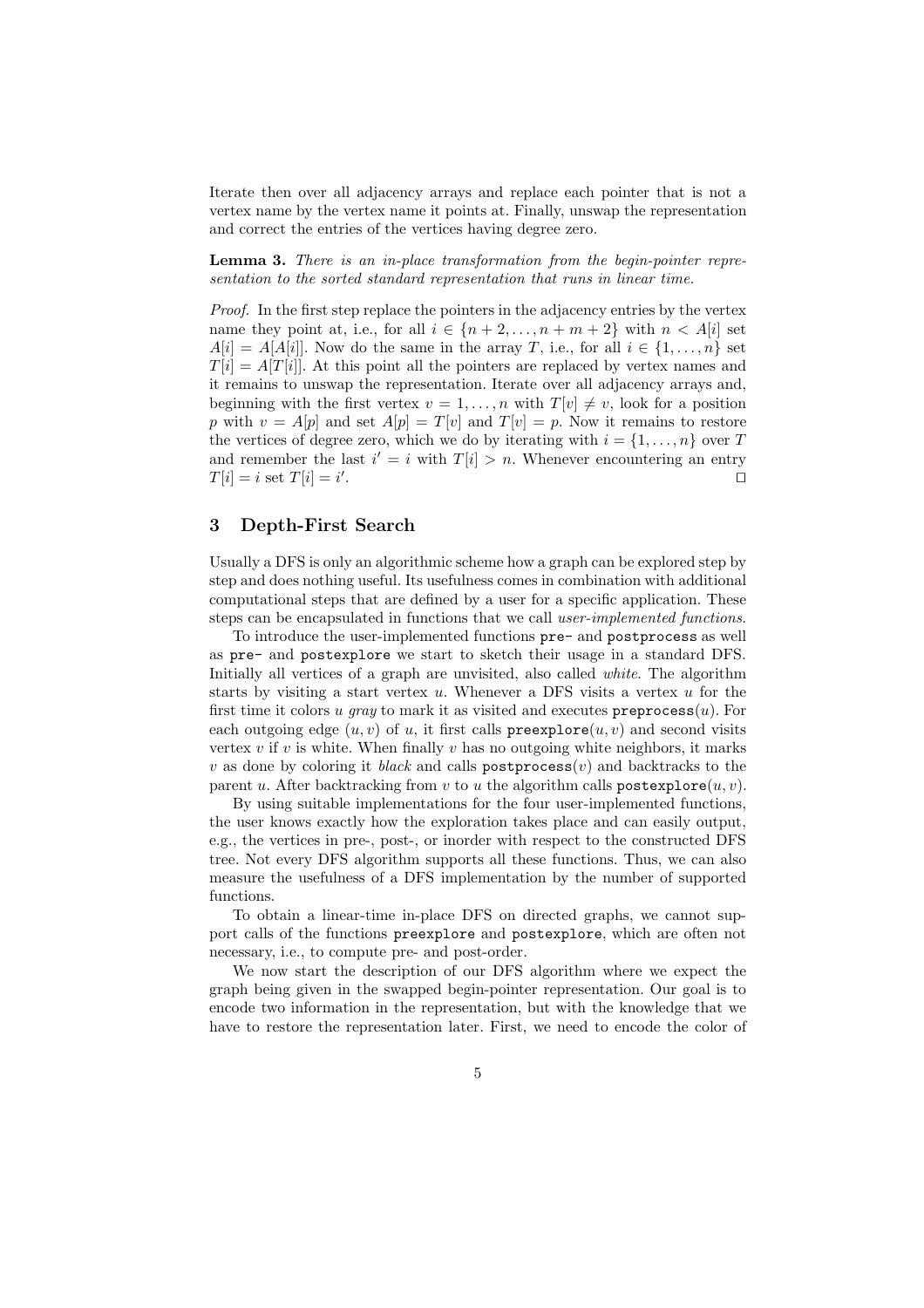Iterate then over all adjacency arrays and replace each pointer that is not a vertex name by the vertex name it points at. Finally, unswap the representation and correct the entries of the vertices having degree zero.

<span id="page-4-0"></span>Lemma 3. There is an in-place transformation from the begin-pointer representation to the sorted standard representation that runs in linear time.

Proof. In the first step replace the pointers in the adjacency entries by the vertex name they point at, i.e., for all  $i \in \{n+2,\ldots,n+m+2\}$  with  $n < A[i]$  set  $A[i] = A[A[i]]$ . Now do the same in the array T, i.e., for all  $i \in \{1, ..., n\}$  set  $T[i] = A[T[i]]$ . At this point all the pointers are replaced by vertex names and it remains to unswap the representation. Iterate over all adjacency arrays and, beginning with the first vertex  $v = 1, \ldots, n$  with  $T[v] \neq v$ , look for a position p with  $v = A[p]$  and set  $A[p] = T[v]$  and  $T[v] = p$ . Now it remains to restore the vertices of degree zero, which we do by iterating with  $i = \{1, \ldots, n\}$  over T and remember the last  $i' = i$  with  $T[i] > n$ . Whenever encountering an entry  $T[i] = i$  set  $T[i] = i'$ . ⊓⊔

## 3 Depth-First Search

Usually a DFS is only an algorithmic scheme how a graph can be explored step by step and does nothing useful. Its usefulness comes in combination with additional computational steps that are defined by a user for a specific application. These steps can be encapsulated in functions that we call user-implemented functions.

To introduce the user-implemented functions pre- and postprocess as well as pre- and postexplore we start to sketch their usage in a standard DFS. Initially all vertices of a graph are unvisited, also called white. The algorithm starts by visiting a start vertex  $u$ . Whenever a DFS visits a vertex  $u$  for the first time it colors u gray to mark it as visited and executes preprocess(u). For each outgoing edge  $(u, v)$  of u, it first calls preexplore $(u, v)$  and second visits vertex  $v$  if  $v$  is white. When finally  $v$  has no outgoing white neighbors, it marks v as done by coloring it black and calls  $postprocess(v)$  and backtracks to the parent u. After backtracking from v to u the algorithm calls postexplore $(u, v)$ .

By using suitable implementations for the four user-implemented functions, the user knows exactly how the exploration takes place and can easily output, e.g., the vertices in pre-, post-, or inorder with respect to the constructed DFS tree. Not every DFS algorithm supports all these functions. Thus, we can also measure the usefulness of a DFS implementation by the number of supported functions.

To obtain a linear-time in-place DFS on directed graphs, we cannot support calls of the functions preexplore and postexplore, which are often not necessary, i.e., to compute pre- and post-order.

We now start the description of our DFS algorithm where we expect the graph being given in the swapped begin-pointer representation. Our goal is to encode two information in the representation, but with the knowledge that we have to restore the representation later. First, we need to encode the color of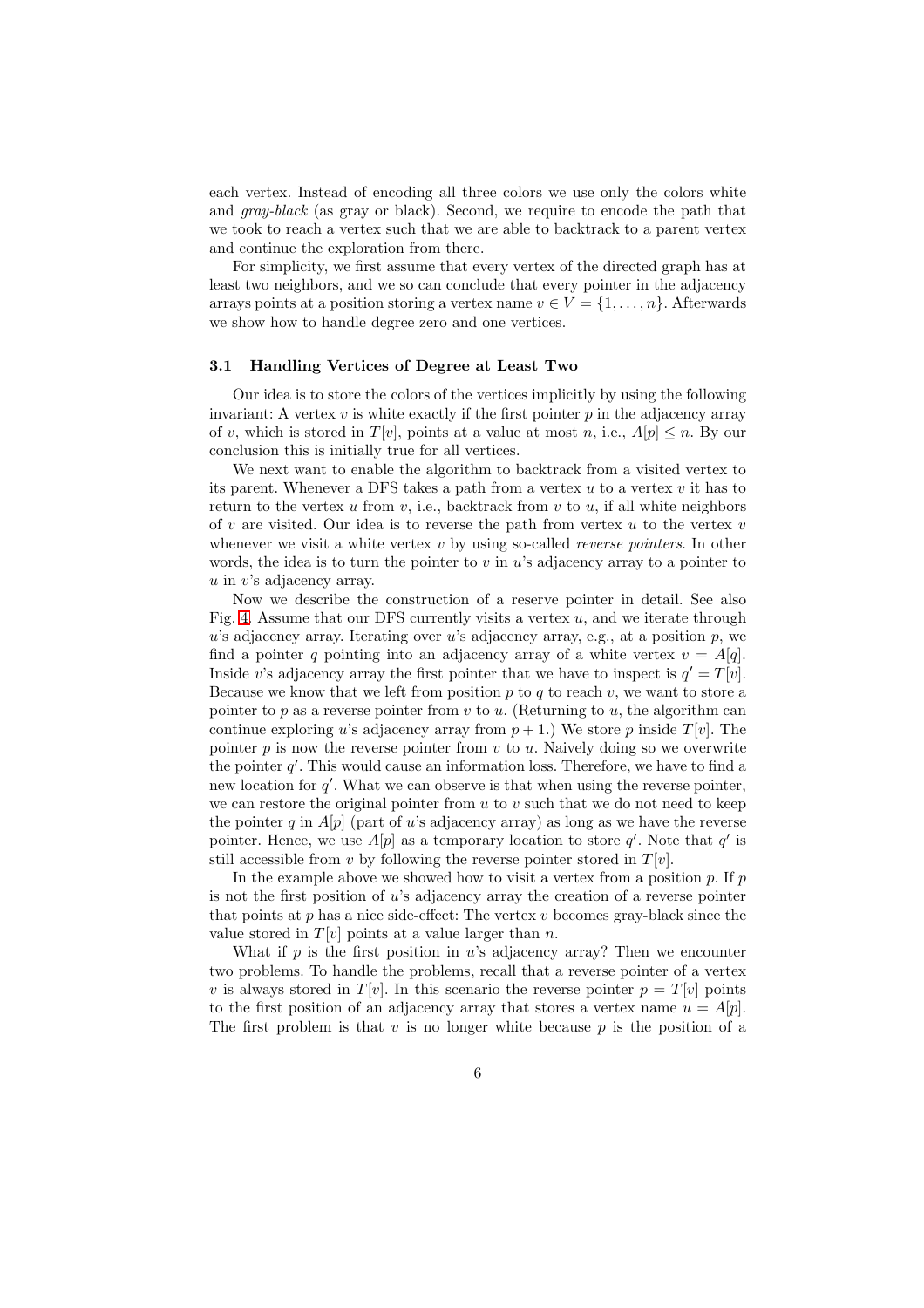each vertex. Instead of encoding all three colors we use only the colors white and gray-black (as gray or black). Second, we require to encode the path that we took to reach a vertex such that we are able to backtrack to a parent vertex and continue the exploration from there.

For simplicity, we first assume that every vertex of the directed graph has at least two neighbors, and we so can conclude that every pointer in the adjacency arrays points at a position storing a vertex name  $v \in V = \{1, \ldots, n\}$ . Afterwards we show how to handle degree zero and one vertices.

#### 3.1 Handling Vertices of Degree at Least Two

Our idea is to store the colors of the vertices implicitly by using the following invariant: A vertex  $v$  is white exactly if the first pointer  $p$  in the adjacency array of v, which is stored in  $T[v]$ , points at a value at most n, i.e.,  $A[p] \leq n$ . By our conclusion this is initially true for all vertices.

We next want to enable the algorithm to backtrack from a visited vertex to its parent. Whenever a DFS takes a path from a vertex  $u$  to a vertex  $v$  it has to return to the vertex u from v, i.e., backtrack from v to u, if all white neighbors of  $v$  are visited. Our idea is to reverse the path from vertex  $u$  to the vertex  $v$ whenever we visit a white vertex  $v$  by using so-called *reverse pointers*. In other words, the idea is to turn the pointer to  $v$  in  $u$ 's adjacency array to a pointer to  $u$  in  $v$ 's adjacency array.

Now we describe the construction of a reserve pointer in detail. See also Fig. [4.](#page-6-0) Assume that our DFS currently visits a vertex  $u$ , and we iterate through  $u$ 's adjacency array. Iterating over  $u$ 's adjacency array, e.g., at a position  $p$ , we find a pointer q pointing into an adjacency array of a white vertex  $v = A[q]$ . Inside v's adjacency array the first pointer that we have to inspect is  $q' = T[v]$ . Because we know that we left from position  $p$  to  $q$  to reach  $v$ , we want to store a pointer to p as a reverse pointer from v to u. (Returning to u, the algorithm can continue exploring u's adjacency array from  $p + 1$ .) We store p inside  $T[v]$ . The pointer  $p$  is now the reverse pointer from  $v$  to  $u$ . Naively doing so we overwrite the pointer  $q'$ . This would cause an information loss. Therefore, we have to find a new location for  $q'$ . What we can observe is that when using the reverse pointer, we can restore the original pointer from  $u$  to  $v$  such that we do not need to keep the pointer q in  $A[p]$  (part of u's adjacency array) as long as we have the reverse pointer. Hence, we use  $A[p]$  as a temporary location to store  $q'$ . Note that  $q'$  is still accessible from v by following the reverse pointer stored in  $T[v]$ .

In the example above we showed how to visit a vertex from a position  $p$ . If  $p$ is not the first position of u's adjacency array the creation of a reverse pointer that points at p has a nice side-effect: The vertex  $v$  becomes gray-black since the value stored in  $T[v]$  points at a value larger than n.

What if  $p$  is the first position in u's adjacency array? Then we encounter two problems. To handle the problems, recall that a reverse pointer of a vertex v is always stored in  $T[v]$ . In this scenario the reverse pointer  $p = T[v]$  points to the first position of an adjacency array that stores a vertex name  $u = A[p]$ . The first problem is that  $v$  is no longer white because  $p$  is the position of a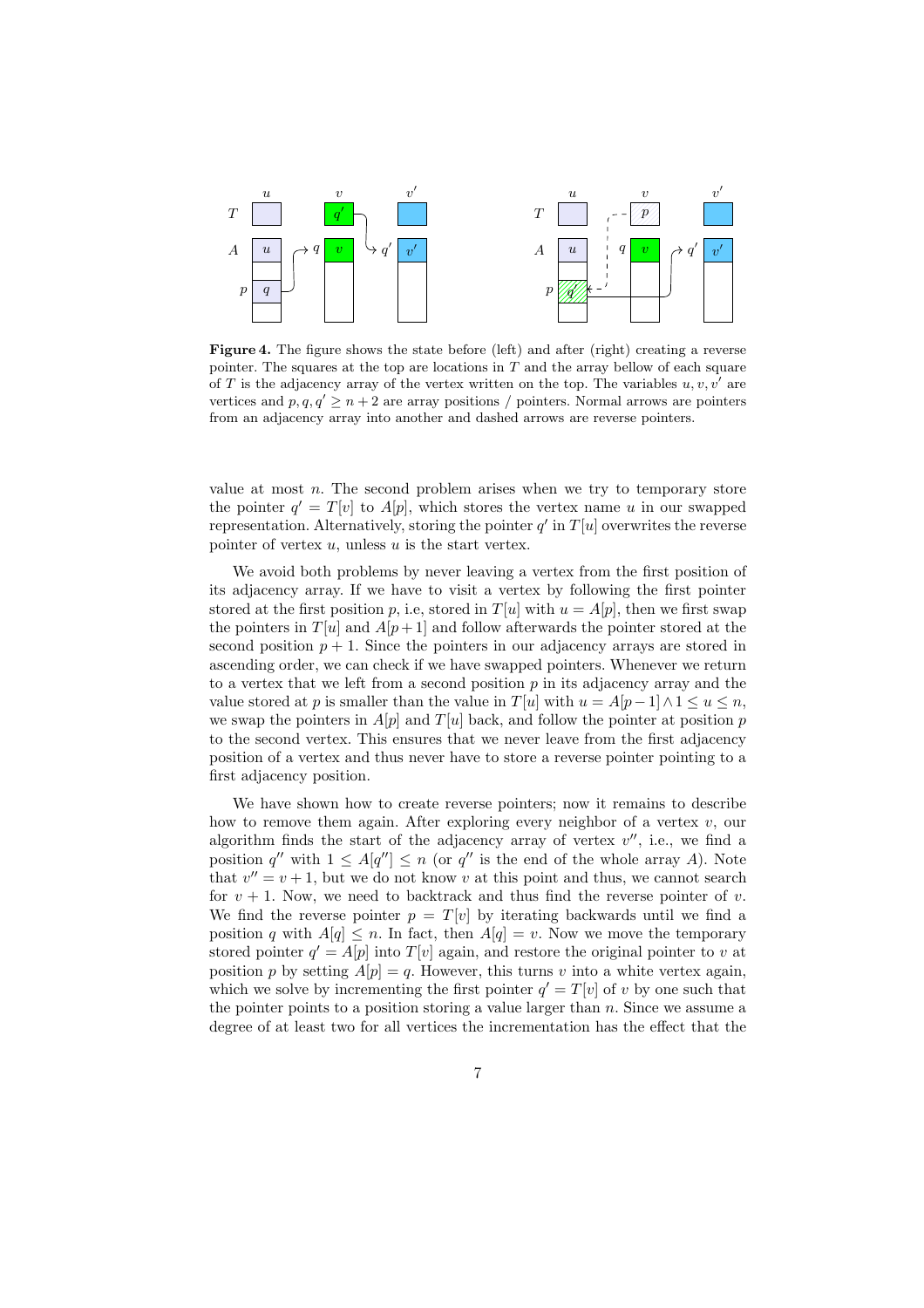

<span id="page-6-0"></span>Figure 4. The figure shows the state before (left) and after (right) creating a reverse pointer. The squares at the top are locations in  $T$  and the array bellow of each square of T is the adjacency array of the vertex written on the top. The variables  $u, v, v'$  are vertices and  $p, q, q' \geq n + 2$  are array positions / pointers. Normal arrows are pointers from an adjacency array into another and dashed arrows are reverse pointers.

value at most  $n$ . The second problem arises when we try to temporary store the pointer  $q' = T[v]$  to  $A[p]$ , which stores the vertex name u in our swapped representation. Alternatively, storing the pointer  $q'$  in  $T[u]$  overwrites the reverse pointer of vertex  $u$ , unless  $u$  is the start vertex.

We avoid both problems by never leaving a vertex from the first position of its adjacency array. If we have to visit a vertex by following the first pointer stored at the first position p, i.e, stored in  $T[u]$  with  $u = A[p]$ , then we first swap the pointers in  $T[u]$  and  $A[p+1]$  and follow afterwards the pointer stored at the second position  $p + 1$ . Since the pointers in our adjacency arrays are stored in ascending order, we can check if we have swapped pointers. Whenever we return to a vertex that we left from a second position  $p$  in its adjacency array and the value stored at p is smaller than the value in  $T[u]$  with  $u = A[p-1] \wedge 1 \le u \le n$ , we swap the pointers in  $A[p]$  and  $T[u]$  back, and follow the pointer at position p to the second vertex. This ensures that we never leave from the first adjacency position of a vertex and thus never have to store a reverse pointer pointing to a first adjacency position.

We have shown how to create reverse pointers; now it remains to describe how to remove them again. After exploring every neighbor of a vertex  $v$ , our algorithm finds the start of the adjacency array of vertex  $v''$ , i.e., we find a position q'' with  $1 \leq A[q''] \leq n$  (or q'' is the end of the whole array A). Note that  $v'' = v + 1$ , but we do not know v at this point and thus, we cannot search for  $v + 1$ . Now, we need to backtrack and thus find the reverse pointer of v. We find the reverse pointer  $p = T[v]$  by iterating backwards until we find a position q with  $A[q] \leq n$ . In fact, then  $A[q] = v$ . Now we move the temporary stored pointer  $q' = A[p]$  into  $T[v]$  again, and restore the original pointer to v at position p by setting  $A[p] = q$ . However, this turns v into a white vertex again, which we solve by incrementing the first pointer  $q' = T[v]$  of v by one such that the pointer points to a position storing a value larger than  $n$ . Since we assume a degree of at least two for all vertices the incrementation has the effect that the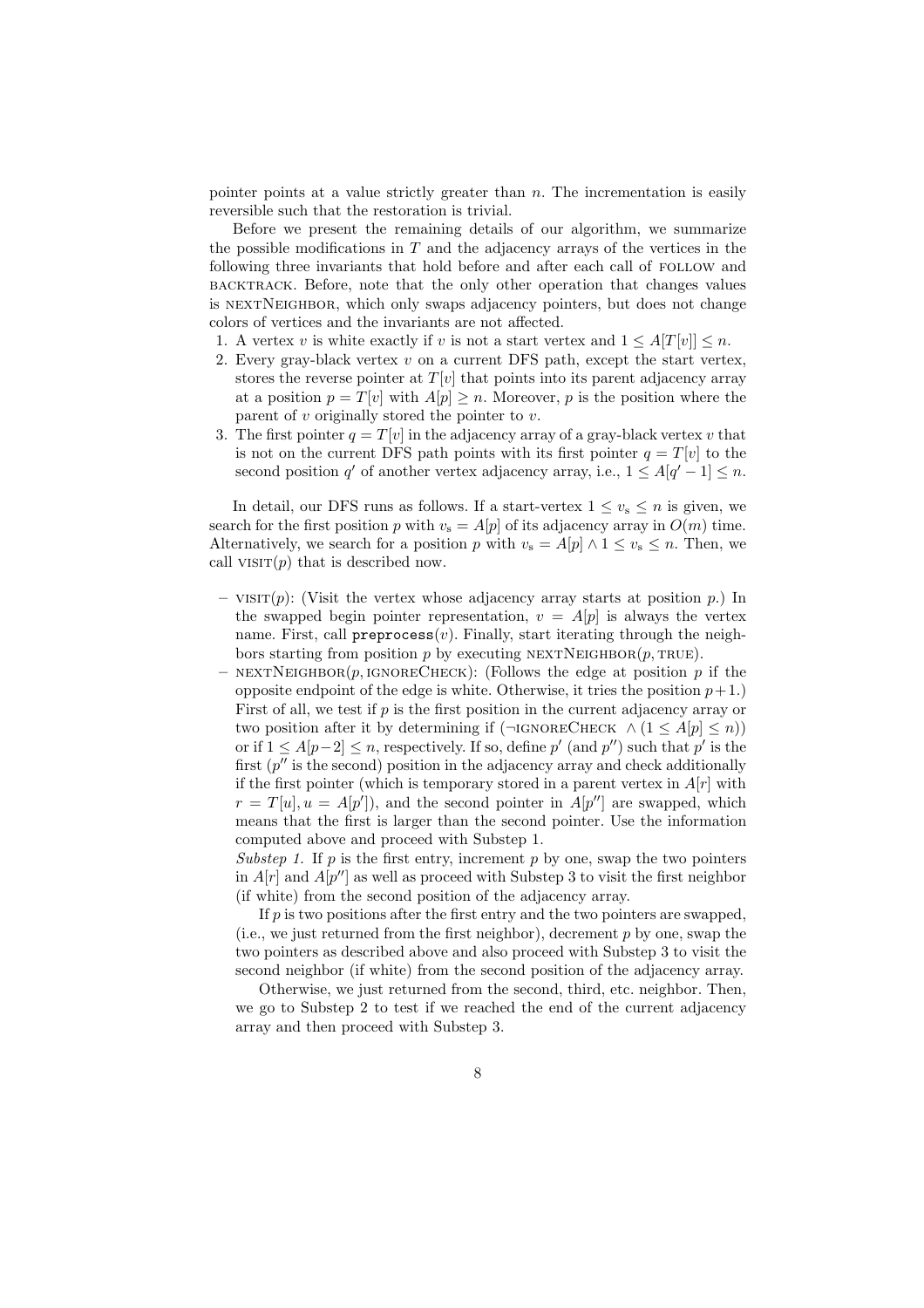pointer points at a value strictly greater than  $n$ . The incrementation is easily reversible such that the restoration is trivial.

Before we present the remaining details of our algorithm, we summarize the possible modifications in  $T$  and the adjacency arrays of the vertices in the following three invariants that hold before and after each call of follow and backtrack. Before, note that the only other operation that changes values is NEXTNEIGHBOR, which only swaps adjacency pointers, but does not change colors of vertices and the invariants are not affected.

- 1. A vertex v is white exactly if v is not a start vertex and  $1 \leq A[T[v]] \leq n$ .
- 2. Every gray-black vertex  $v$  on a current DFS path, except the start vertex, stores the reverse pointer at  $T[v]$  that points into its parent adjacency array at a position  $p = T[v]$  with  $A[p] \geq n$ . Moreover, p is the position where the parent of  $v$  originally stored the pointer to  $v$ .
- 3. The first pointer  $q = T[v]$  in the adjacency array of a gray-black vertex v that is not on the current DFS path points with its first pointer  $q = T[v]$  to the second position q' of another vertex adjacency array, i.e.,  $1 \leq A[q'-1] \leq n$ .

In detail, our DFS runs as follows. If a start-vertex  $1 \le v_s \le n$  is given, we search for the first position p with  $v_s = A[p]$  of its adjacency array in  $O(m)$  time. Alternatively, we search for a position p with  $v_s = A[p] \wedge 1 \le v_s \le n$ . Then, we call  $VISIT(p)$  that is described now.

- VISIT $(p)$ : (Visit the vertex whose adjacency array starts at position p.) In the swapped begin pointer representation,  $v = A[p]$  is always the vertex name. First, call  $preprocess(v)$ . Finally, start iterating through the neighbors starting from position p by executing NEXTNEIGHBOR $(p, \text{TRUE})$ .
- NEXTNEIGHBOR $(p, \text{IGNORECHECK})$ : (Follows the edge at position p if the opposite endpoint of the edge is white. Otherwise, it tries the position  $p+1$ .) First of all, we test if p is the first position in the current adjacency array or two position after it by determining if  $(\neg \text{GNORECHECK } \wedge (1 \leq A[p] \leq n))$ or if  $1 \leq A[p-2] \leq n$ , respectively. If so, define p' (and p'') such that p' is the first  $(p''$  is the second) position in the adjacency array and check additionally if the first pointer (which is temporary stored in a parent vertex in  $A[r]$  with  $r = T[u], u = A[p$ <sup>'</sup>], and the second pointer in  $A[p'']$  are swapped, which means that the first is larger than the second pointer. Use the information computed above and proceed with Substep 1.

Substep 1. If p is the first entry, increment p by one, swap the two pointers in  $A[r]$  and  $A[p'']$  as well as proceed with Substep 3 to visit the first neighbor (if white) from the second position of the adjacency array.

If  $p$  is two positions after the first entry and the two pointers are swapped, (i.e., we just returned from the first neighbor), decrement  $p$  by one, swap the two pointers as described above and also proceed with Substep 3 to visit the second neighbor (if white) from the second position of the adjacency array.

Otherwise, we just returned from the second, third, etc. neighbor. Then, we go to Substep 2 to test if we reached the end of the current adjacency array and then proceed with Substep 3.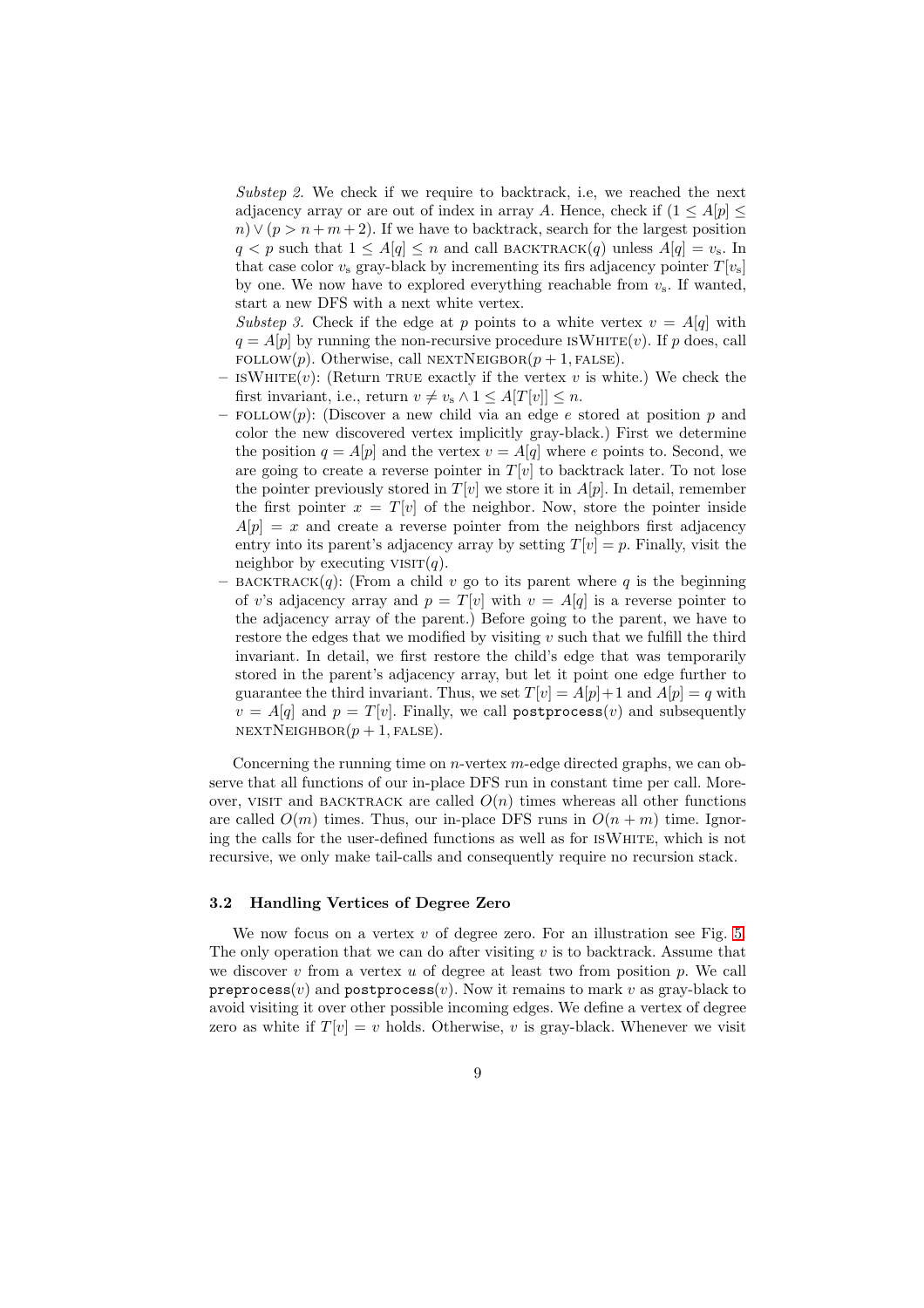Substep 2. We check if we require to backtrack, i.e, we reached the next adjacency array or are out of index in array A. Hence, check if  $(1 \leq A[p] \leq$  $n) \vee (p > n + m + 2)$ . If we have to backtrack, search for the largest position  $q < p$  such that  $1 \leq A[q] \leq n$  and call BACKTRACK $(q)$  unless  $A[q] = v_s$ . In that case color  $v_s$  gray-black by incrementing its firs adjacency pointer  $T[v_s]$ by one. We now have to explored everything reachable from  $v_s$ . If wanted, start a new DFS with a next white vertex.

Substep 3. Check if the edge at p points to a white vertex  $v = A[q]$  with  $q = A[p]$  by running the non-recursive procedure ISWHITE $(v)$ . If p does, call FOLLOW(p). Otherwise, call NEXTNEIGBOR( $p + 1$ , FALSE).

- ISWHITE $(v)$ : (Return TRUE exactly if the vertex v is white.) We check the first invariant, i.e., return  $v \neq v_s \wedge 1 \leq A[T[v]] \leq n$ .
- FOLLOW $(p)$ : (Discover a new child via an edge e stored at position p and color the new discovered vertex implicitly gray-black.) First we determine the position  $q = A[p]$  and the vertex  $v = A[q]$  where e points to. Second, we are going to create a reverse pointer in  $T[v]$  to backtrack later. To not lose the pointer previously stored in  $T[v]$  we store it in  $A[p]$ . In detail, remember the first pointer  $x = T[v]$  of the neighbor. Now, store the pointer inside  $A[p] = x$  and create a reverse pointer from the neighbors first adjacency entry into its parent's adjacency array by setting  $T[v] = p$ . Finally, visit the neighbor by executing  $VISIT(q)$ .
- BACKTRACK $(q)$ : (From a child v go to its parent where q is the beginning of v's adjacency array and  $p = T[v]$  with  $v = A[q]$  is a reverse pointer to the adjacency array of the parent.) Before going to the parent, we have to restore the edges that we modified by visiting  $v$  such that we fulfill the third invariant. In detail, we first restore the child's edge that was temporarily stored in the parent's adjacency array, but let it point one edge further to guarantee the third invariant. Thus, we set  $T[v] = A[p] + 1$  and  $A[p] = q$  with  $v = A[q]$  and  $p = T[v]$ . Finally, we call postprocess(v) and subsequently  $NEXTNEIGHBOR(p + 1, FALSE).$

Concerning the running time on  $n$ -vertex  $m$ -edge directed graphs, we can observe that all functions of our in-place DFS run in constant time per call. Moreover, VISIT and BACKTRACK are called  $O(n)$  times whereas all other functions are called  $O(m)$  times. Thus, our in-place DFS runs in  $O(n + m)$  time. Ignoring the calls for the user-defined functions as well as for isWhite, which is not recursive, we only make tail-calls and consequently require no recursion stack.

#### 3.2 Handling Vertices of Degree Zero

We now focus on a vertex  $v$  of degree zero. For an illustration see Fig. [5.](#page-9-0) The only operation that we can do after visiting  $v$  is to backtrack. Assume that we discover  $v$  from a vertex  $u$  of degree at least two from position  $p$ . We call preprocess(v) and postprocess(v). Now it remains to mark v as gray-black to avoid visiting it over other possible incoming edges. We define a vertex of degree zero as white if  $T[v] = v$  holds. Otherwise, v is gray-black. Whenever we visit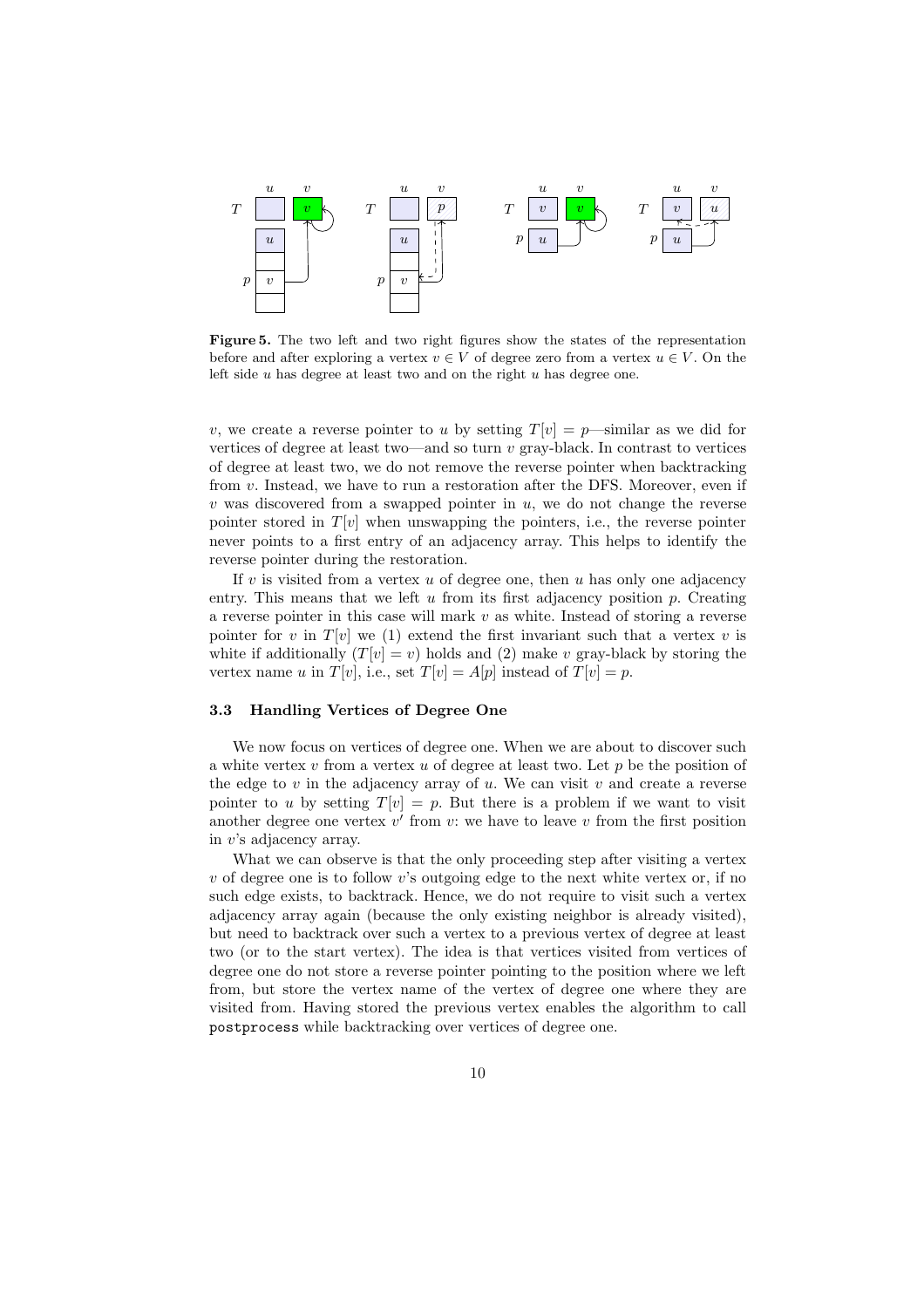

<span id="page-9-0"></span>Figure 5. The two left and two right figures show the states of the representation before and after exploring a vertex  $v \in V$  of degree zero from a vertex  $u \in V$ . On the left side  $u$  has degree at least two and on the right  $u$  has degree one.

v, we create a reverse pointer to u by setting  $T[v] = p$ —similar as we did for vertices of degree at least two—and so turn  $v$  gray-black. In contrast to vertices of degree at least two, we do not remove the reverse pointer when backtracking from  $v$ . Instead, we have to run a restoration after the DFS. Moreover, even if  $v$  was discovered from a swapped pointer in  $u$ , we do not change the reverse pointer stored in  $T[v]$  when unswapping the pointers, i.e., the reverse pointer never points to a first entry of an adjacency array. This helps to identify the reverse pointer during the restoration.

If v is visited from a vertex u of degree one, then u has only one adjacency entry. This means that we left  $u$  from its first adjacency position  $p$ . Creating a reverse pointer in this case will mark  $v$  as white. Instead of storing a reverse pointer for v in  $T[v]$  we (1) extend the first invariant such that a vertex v is white if additionally  $(T[v] = v)$  holds and (2) make v gray-black by storing the vertex name u in  $T[v]$ , i.e., set  $T[v] = A[p]$  instead of  $T[v] = p$ .

#### 3.3 Handling Vertices of Degree One

We now focus on vertices of degree one. When we are about to discover such a white vertex  $v$  from a vertex  $u$  of degree at least two. Let  $p$  be the position of the edge to v in the adjacency array of u. We can visit v and create a reverse pointer to u by setting  $T[v] = p$ . But there is a problem if we want to visit another degree one vertex  $v'$  from  $v:$  we have to leave  $v$  from the first position in v's adjacency array.

What we can observe is that the only proceeding step after visiting a vertex  $v$  of degree one is to follow  $v$ 's outgoing edge to the next white vertex or, if no such edge exists, to backtrack. Hence, we do not require to visit such a vertex adjacency array again (because the only existing neighbor is already visited), but need to backtrack over such a vertex to a previous vertex of degree at least two (or to the start vertex). The idea is that vertices visited from vertices of degree one do not store a reverse pointer pointing to the position where we left from, but store the vertex name of the vertex of degree one where they are visited from. Having stored the previous vertex enables the algorithm to call postprocess while backtracking over vertices of degree one.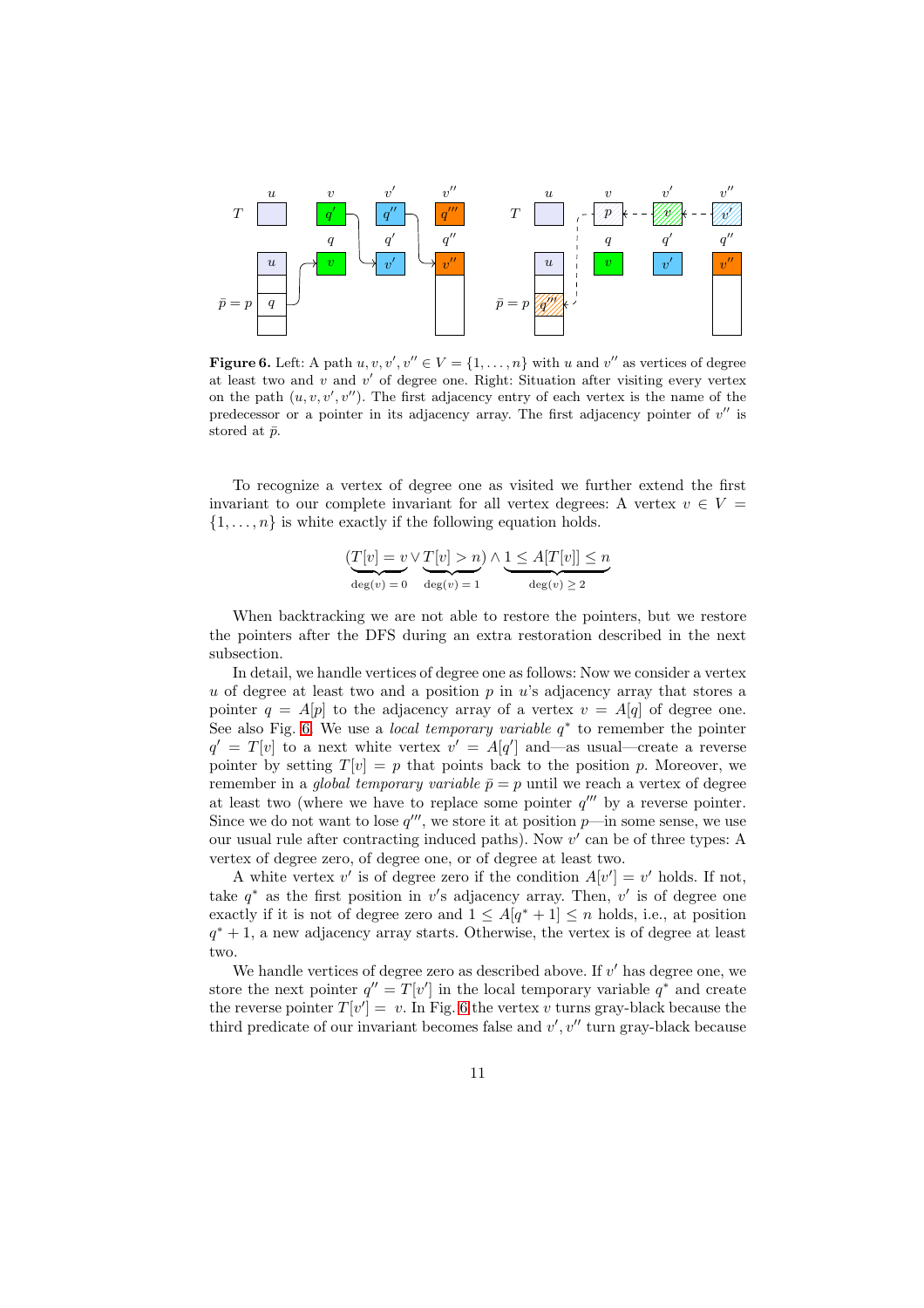

<span id="page-10-0"></span>**Figure 6.** Left: A path  $u, v, v', v'' \in V = \{1, \ldots, n\}$  with u and v'' as vertices of degree at least two and  $v$  and  $v'$  of degree one. Right: Situation after visiting every vertex on the path  $(u, v, v', v'')$ . The first adjacency entry of each vertex is the name of the predecessor or a pointer in its adjacency array. The first adjacency pointer of  $v''$  is stored at  $\bar{p}$ .

To recognize a vertex of degree one as visited we further extend the first invariant to our complete invariant for all vertex degrees: A vertex  $v \in V =$  $\{1, \ldots, n\}$  is white exactly if the following equation holds.

$$
(\underline{T[v]} = v \lor \underline{T[v]} > n) \land \underline{1 \leq A[T[v]] \leq n}
$$
  

$$
\deg(v) = 0 \quad \deg(v) = 1 \qquad \deg(v) \geq 2
$$

When backtracking we are not able to restore the pointers, but we restore the pointers after the DFS during an extra restoration described in the next subsection.

In detail, we handle vertices of degree one as follows: Now we consider a vertex  $u$  of degree at least two and a position  $p$  in  $u$ 's adjacency array that stores a pointer  $q = A[p]$  to the adjacency array of a vertex  $v = A[q]$  of degree one. See also Fig. [6.](#page-10-0) We use a *local temporary variable*  $q^*$  to remember the pointer  $q' = T[v]$  to a next white vertex  $v' = A[q']$  and—as usual—create a reverse pointer by setting  $T[v] = p$  that points back to the position p. Moreover, we remember in a *global temporary variable*  $\bar{p} = p$  until we reach a vertex of degree at least two (where we have to replace some pointer  $q^{\prime\prime\prime}$  by a reverse pointer. Since we do not want to lose  $q'''$ , we store it at position  $p$ —in some sense, we use our usual rule after contracting induced paths). Now  $v'$  can be of three types: A vertex of degree zero, of degree one, or of degree at least two.

A white vertex v' is of degree zero if the condition  $A[v'] = v'$  holds. If not, take  $q^*$  as the first position in v's adjacency array. Then, v' is of degree one exactly if it is not of degree zero and  $1 \leq A[q^* + 1] \leq n$  holds, i.e., at position  $q^* + 1$ , a new adjacency array starts. Otherwise, the vertex is of degree at least two.

We handle vertices of degree zero as described above. If  $v'$  has degree one, we store the next pointer  $q'' = T[v']$  in the local temporary variable  $q^*$  and create the reverse pointer  $T[v'] = v$ . In Fig. [6](#page-10-0) the vertex v turns gray-black because the third predicate of our invariant becomes false and  $v', v''$  turn gray-black because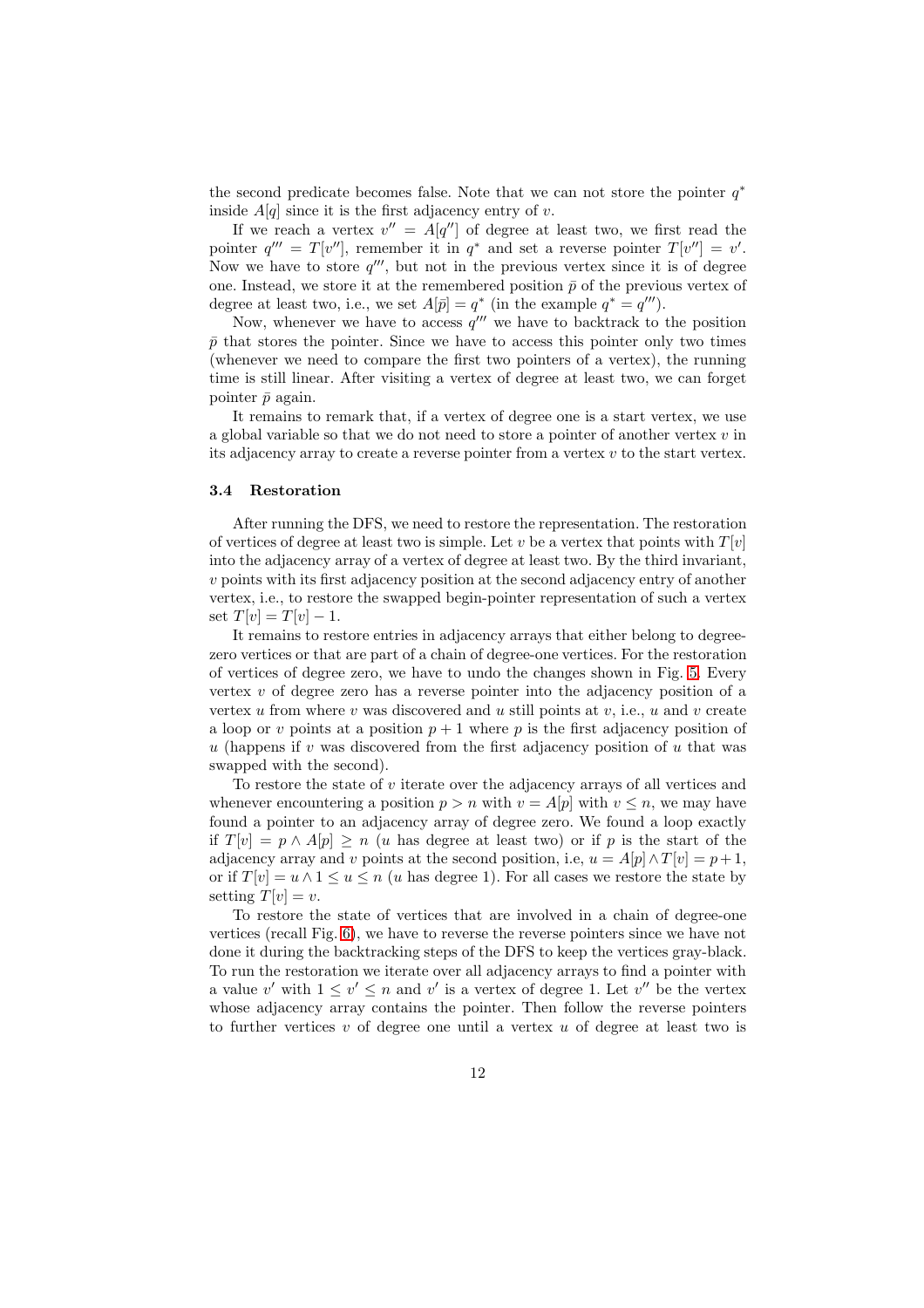the second predicate becomes false. Note that we can not store the pointer  $q^*$ inside  $A[q]$  since it is the first adjacency entry of v.

If we reach a vertex  $v'' = A[q'']$  of degree at least two, we first read the pointer  $q''' = T[v'']$ , remember it in  $q^*$  and set a reverse pointer  $T[v''] = v'$ . Now we have to store  $q''$ , but not in the previous vertex since it is of degree one. Instead, we store it at the remembered position  $\bar{p}$  of the previous vertex of degree at least two, i.e., we set  $A[\bar{p}] = q^*$  (in the example  $q^* = q'''$ ).

Now, whenever we have to access  $q^{\prime\prime\prime}$  we have to backtrack to the position  $\bar{p}$  that stores the pointer. Since we have to access this pointer only two times (whenever we need to compare the first two pointers of a vertex), the running time is still linear. After visiting a vertex of degree at least two, we can forget pointer  $\bar{p}$  again.

It remains to remark that, if a vertex of degree one is a start vertex, we use a global variable so that we do not need to store a pointer of another vertex  $v$  in its adjacency array to create a reverse pointer from a vertex  $v$  to the start vertex.

#### 3.4 Restoration

After running the DFS, we need to restore the representation. The restoration of vertices of degree at least two is simple. Let v be a vertex that points with  $T[v]$ into the adjacency array of a vertex of degree at least two. By the third invariant, v points with its first adjacency position at the second adjacency entry of another vertex, i.e., to restore the swapped begin-pointer representation of such a vertex set  $T[v] = T[v] - 1.$ 

It remains to restore entries in adjacency arrays that either belong to degreezero vertices or that are part of a chain of degree-one vertices. For the restoration of vertices of degree zero, we have to undo the changes shown in Fig. [5.](#page-9-0) Every vertex  $v$  of degree zero has a reverse pointer into the adjacency position of a vertex u from where v was discovered and u still points at v, i.e., u and v create a loop or v points at a position  $p + 1$  where p is the first adjacency position of  $u$  (happens if  $v$  was discovered from the first adjacency position of  $u$  that was swapped with the second).

To restore the state of  $v$  iterate over the adjacency arrays of all vertices and whenever encountering a position  $p > n$  with  $v = A[p]$  with  $v \leq n$ , we may have found a pointer to an adjacency array of degree zero. We found a loop exactly if  $T[v] = p \wedge A[p] \geq n$  (*u* has degree at least two) or if p is the start of the adjacency array and v points at the second position, i.e,  $u = A[p] \wedge T[v] = p+1$ , or if  $T[v] = u \wedge 1 \le u \le n$  (u has degree 1). For all cases we restore the state by setting  $T[v] = v$ .

To restore the state of vertices that are involved in a chain of degree-one vertices (recall Fig. [6\)](#page-10-0), we have to reverse the reverse pointers since we have not done it during the backtracking steps of the DFS to keep the vertices gray-black. To run the restoration we iterate over all adjacency arrays to find a pointer with a value v' with  $1 \leq v' \leq n$  and v' is a vertex of degree 1. Let v'' be the vertex whose adjacency array contains the pointer. Then follow the reverse pointers to further vertices  $v$  of degree one until a vertex  $u$  of degree at least two is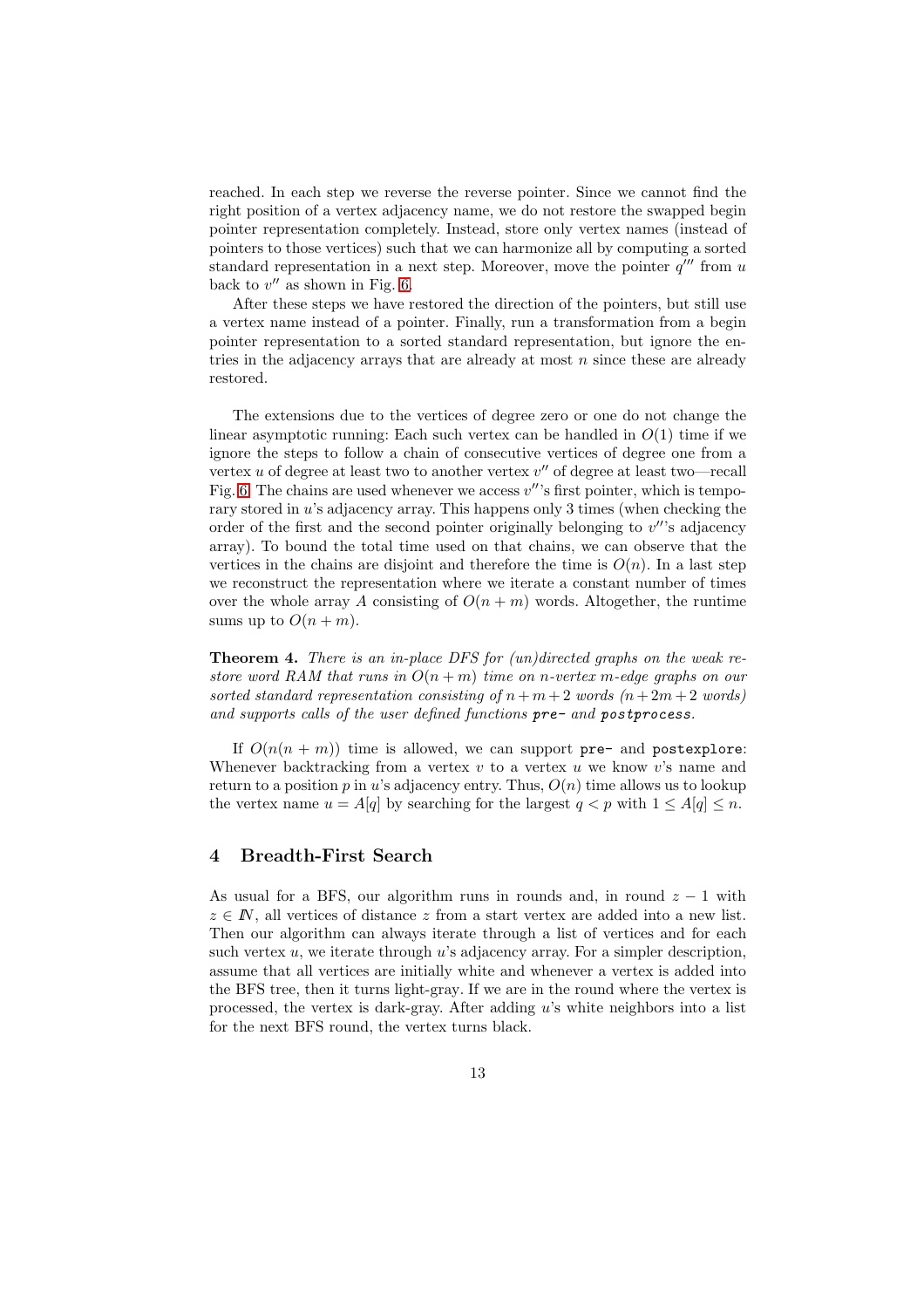reached. In each step we reverse the reverse pointer. Since we cannot find the right position of a vertex adjacency name, we do not restore the swapped begin pointer representation completely. Instead, store only vertex names (instead of pointers to those vertices) such that we can harmonize all by computing a sorted standard representation in a next step. Moreover, move the pointer  $q^{\prime\prime\prime}$  from u back to  $v''$  as shown in Fig. [6.](#page-10-0)

After these steps we have restored the direction of the pointers, but still use a vertex name instead of a pointer. Finally, run a transformation from a begin pointer representation to a sorted standard representation, but ignore the entries in the adjacency arrays that are already at most  $n$  since these are already restored.

The extensions due to the vertices of degree zero or one do not change the linear asymptotic running: Each such vertex can be handled in  $O(1)$  time if we ignore the steps to follow a chain of consecutive vertices of degree one from a vertex  $u$  of degree at least two to another vertex  $v''$  of degree at least two—recall Fig. [6.](#page-10-0) The chains are used whenever we access  $v''$ 's first pointer, which is temporary stored in u's adjacency array. This happens only 3 times (when checking the order of the first and the second pointer originally belonging to  $v''$ 's adjacency array). To bound the total time used on that chains, we can observe that the vertices in the chains are disjoint and therefore the time is  $O(n)$ . In a last step we reconstruct the representation where we iterate a constant number of times over the whole array A consisting of  $O(n + m)$  words. Altogether, the runtime sums up to  $O(n+m)$ .

**Theorem 4.** There is an in-place DFS for  $(un)directed$  graphs on the weak restore word RAM that runs in  $O(n+m)$  time on n-vertex m-edge graphs on our sorted standard representation consisting of  $n + m + 2$  words  $(n + 2m + 2$  words) and supports calls of the user defined functions pre- and postprocess.

If  $O(n(n+m))$  time is allowed, we can support pre- and postexplore: Whenever backtracking from a vertex  $v$  to a vertex  $u$  we know  $v$ 's name and return to a position p in u's adjacency entry. Thus,  $O(n)$  time allows us to lookup the vertex name  $u = A[q]$  by searching for the largest  $q < p$  with  $1 \leq A[q] \leq n$ .

## 4 Breadth-First Search

As usual for a BFS, our algorithm runs in rounds and, in round  $z - 1$  with  $z \in \mathbb{N}$ , all vertices of distance z from a start vertex are added into a new list. Then our algorithm can always iterate through a list of vertices and for each such vertex  $u$ , we iterate through  $u$ 's adjacency array. For a simpler description, assume that all vertices are initially white and whenever a vertex is added into the BFS tree, then it turns light-gray. If we are in the round where the vertex is processed, the vertex is dark-gray. After adding  $u$ 's white neighbors into a list for the next BFS round, the vertex turns black.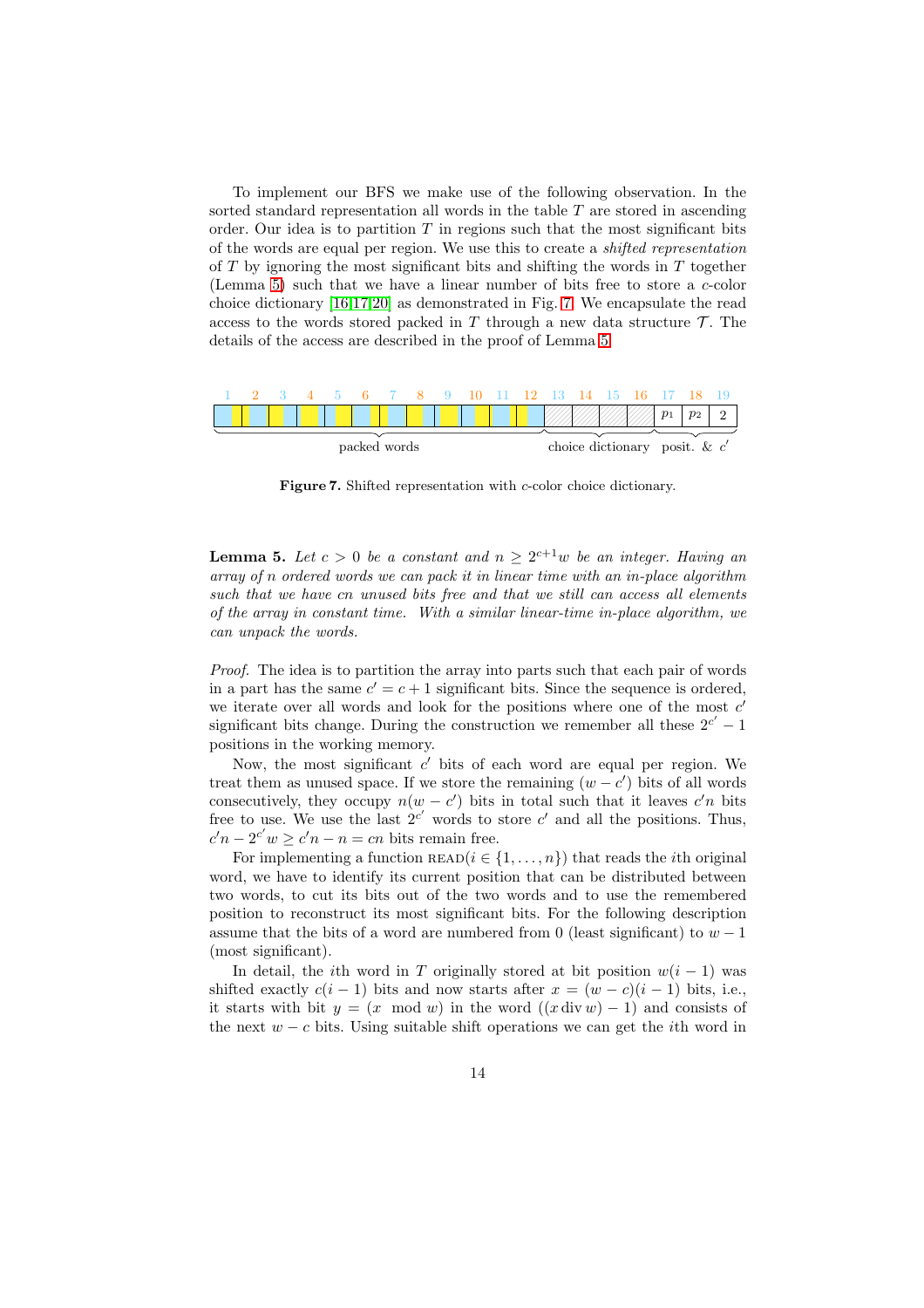To implement our BFS we make use of the following observation. In the sorted standard representation all words in the table T are stored in ascending order. Our idea is to partition  $T$  in regions such that the most significant bits of the words are equal per region. We use this to create a shifted representation of  $T$  by ignoring the most significant bits and shifting the words in  $T$  together (Lemma [5\)](#page-13-0) such that we have a linear number of bits free to store a c-color choice dictionary [\[16](#page-16-11)[,17,](#page-16-5)[20\]](#page-16-12) as demonstrated in Fig. [7.](#page-13-1) We encapsulate the read access to the words stored packed in T through a new data structure  $\mathcal T$ . The details of the access are described in the proof of Lemma [5.](#page-13-0)



<span id="page-13-1"></span><span id="page-13-0"></span>Figure 7. Shifted representation with c-color choice dictionary.

**Lemma 5.** Let  $c > 0$  be a constant and  $n \geq 2^{c+1}w$  be an integer. Having an array of n ordered words we can pack it in linear time with an in-place algorithm such that we have cn unused bits free and that we still can access all elements of the array in constant time. With a similar linear-time in-place algorithm, we can unpack the words.

Proof. The idea is to partition the array into parts such that each pair of words in a part has the same  $c' = c + 1$  significant bits. Since the sequence is ordered, we iterate over all words and look for the positions where one of the most  $c'$ significant bits change. During the construction we remember all these  $2^{c'} - 1$ positions in the working memory.

Now, the most significant c' bits of each word are equal per region. We treat them as unused space. If we store the remaining  $(w - c')$  bits of all words consecutively, they occupy  $n(w - c')$  bits in total such that it leaves  $c'n$  bits free to use. We use the last  $2^{c'}$  words to store c' and all the positions. Thus,  $c'n - 2^{c'}w \ge c'n - n = cn$  bits remain free.

For implementing a function  $\text{READ}(i \in \{1, \ldots, n\})$  that reads the *i*th original word, we have to identify its current position that can be distributed between two words, to cut its bits out of the two words and to use the remembered position to reconstruct its most significant bits. For the following description assume that the bits of a word are numbered from 0 (least significant) to  $w - 1$ (most significant).

In detail, the *i*th word in T originally stored at bit position  $w(i - 1)$  was shifted exactly  $c(i - 1)$  bits and now starts after  $x = (w - c)(i - 1)$  bits, i.e., it starts with bit  $y = (x \mod w)$  in the word  $((x \text{div } w) - 1)$  and consists of the next  $w - c$  bits. Using suitable shift operations we can get the *i*th word in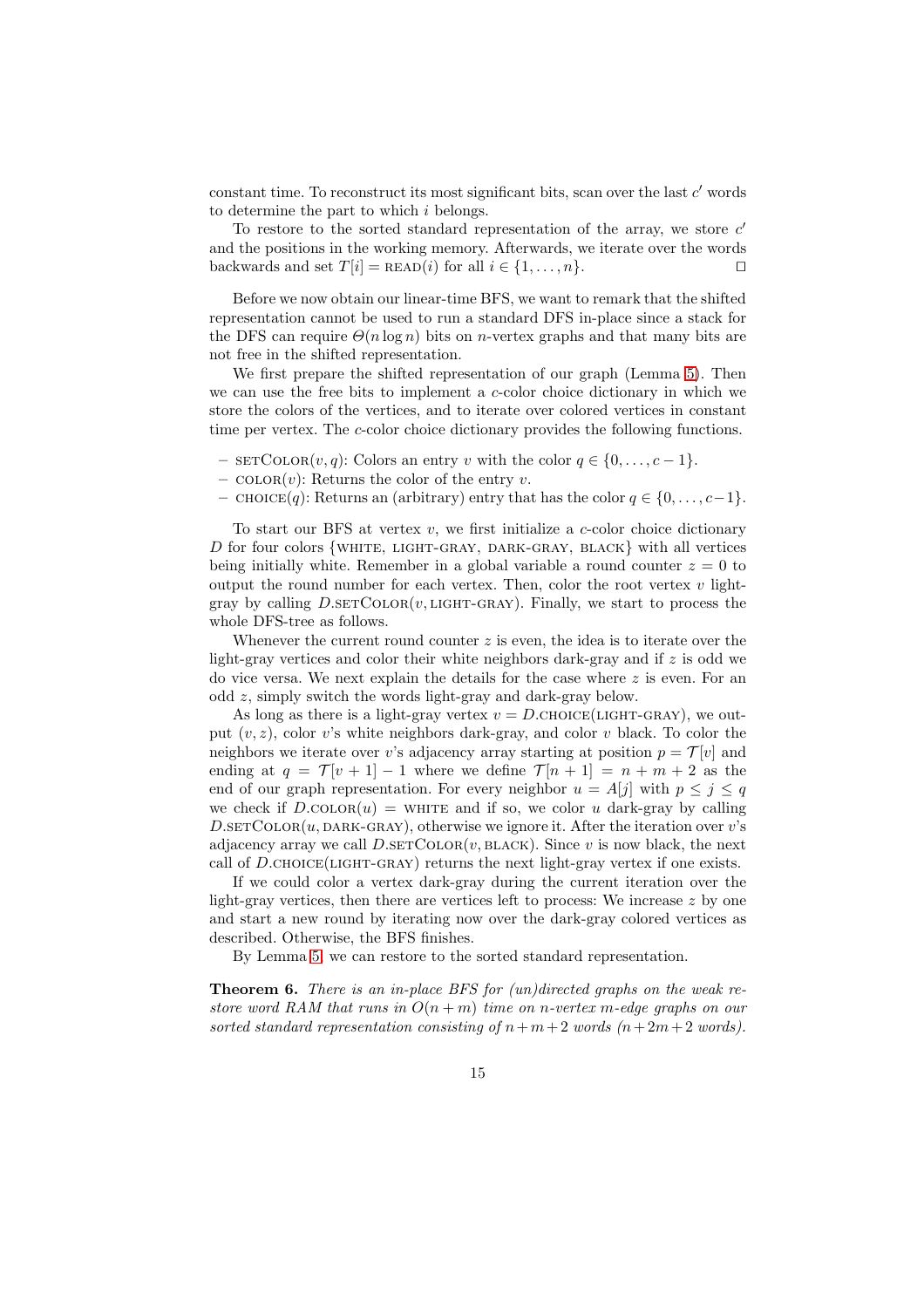constant time. To reconstruct its most significant bits, scan over the last  $c'$  words to determine the part to which i belongs.

To restore to the sorted standard representation of the array, we store  $c'$ and the positions in the working memory. Afterwards, we iterate over the words backwards and set  $T[i] = \text{READ}(i)$  for all  $i \in \{1, ..., n\}$ . □

Before we now obtain our linear-time BFS, we want to remark that the shifted representation cannot be used to run a standard DFS in-place since a stack for the DFS can require  $\Theta(n \log n)$  bits on *n*-vertex graphs and that many bits are not free in the shifted representation.

We first prepare the shifted representation of our graph (Lemma [5\)](#page-13-0). Then we can use the free bits to implement a  $c$ -color choice dictionary in which we store the colors of the vertices, and to iterate over colored vertices in constant time per vertex. The c-color choice dictionary provides the following functions.

- $-$  SETCOLOR $(v, q)$ : Colors an entry v with the color  $q \in \{0, \ldots, c-1\}.$
- $\text{COLOR}(v)$ : Returns the color of the entry v.
- CHOICE(q): Returns an (arbitrary) entry that has the color  $q \in \{0, \ldots, c-1\}$ .

To start our BFS at vertex  $v$ , we first initialize a  $c$ -color choice dictionary  $D$  for four colors {WHITE, LIGHT-GRAY, DARK-GRAY, BLACK} with all vertices being initially white. Remember in a global variable a round counter  $z = 0$  to output the round number for each vertex. Then, color the root vertex  $v$  lightgray by calling  $D.\text{SETCOLDR}(v, \text{LIGHT-GRAY})$ . Finally, we start to process the whole DFS-tree as follows.

Whenever the current round counter  $z$  is even, the idea is to iterate over the light-gray vertices and color their white neighbors dark-gray and if z is odd we do vice versa. We next explain the details for the case where  $z$  is even. For an odd z, simply switch the words light-gray and dark-gray below.

As long as there is a light-gray vertex  $v = D$ . CHOICE(LIGHT-GRAY), we output  $(v, z)$ , color v's white neighbors dark-gray, and color v black. To color the neighbors we iterate over v's adjacency array starting at position  $p = \mathcal{T}[v]$  and ending at  $q = \mathcal{T}[v+1] - 1$  where we define  $\mathcal{T}[n+1] = n+m+2$  as the end of our graph representation. For every neighbor  $u = A[j]$  with  $p \leq j \leq q$ we check if  $D$ .color(u) = WHITE and if so, we color u dark-gray by calling  $D.\text{SETCOLOR}(u, \text{DARK-GRAY})$ , otherwise we ignore it. After the iteration over v's adjacency array we call  $D$ .setCOLOR $(v, BLACK)$ . Since v is now black, the next call of  $D$ . CHOICE(LIGHT-GRAY) returns the next light-gray vertex if one exists.

If we could color a vertex dark-gray during the current iteration over the light-gray vertices, then there are vertices left to process: We increase  $z$  by one and start a new round by iterating now over the dark-gray colored vertices as described. Otherwise, the BFS finishes.

By Lemma [5,](#page-13-0) we can restore to the sorted standard representation.

**Theorem 6.** There is an in-place BFS for (un)directed graphs on the weak restore word RAM that runs in  $O(n+m)$  time on n-vertex m-edge graphs on our sorted standard representation consisting of  $n+m+2$  words  $(n+2m+2$  words).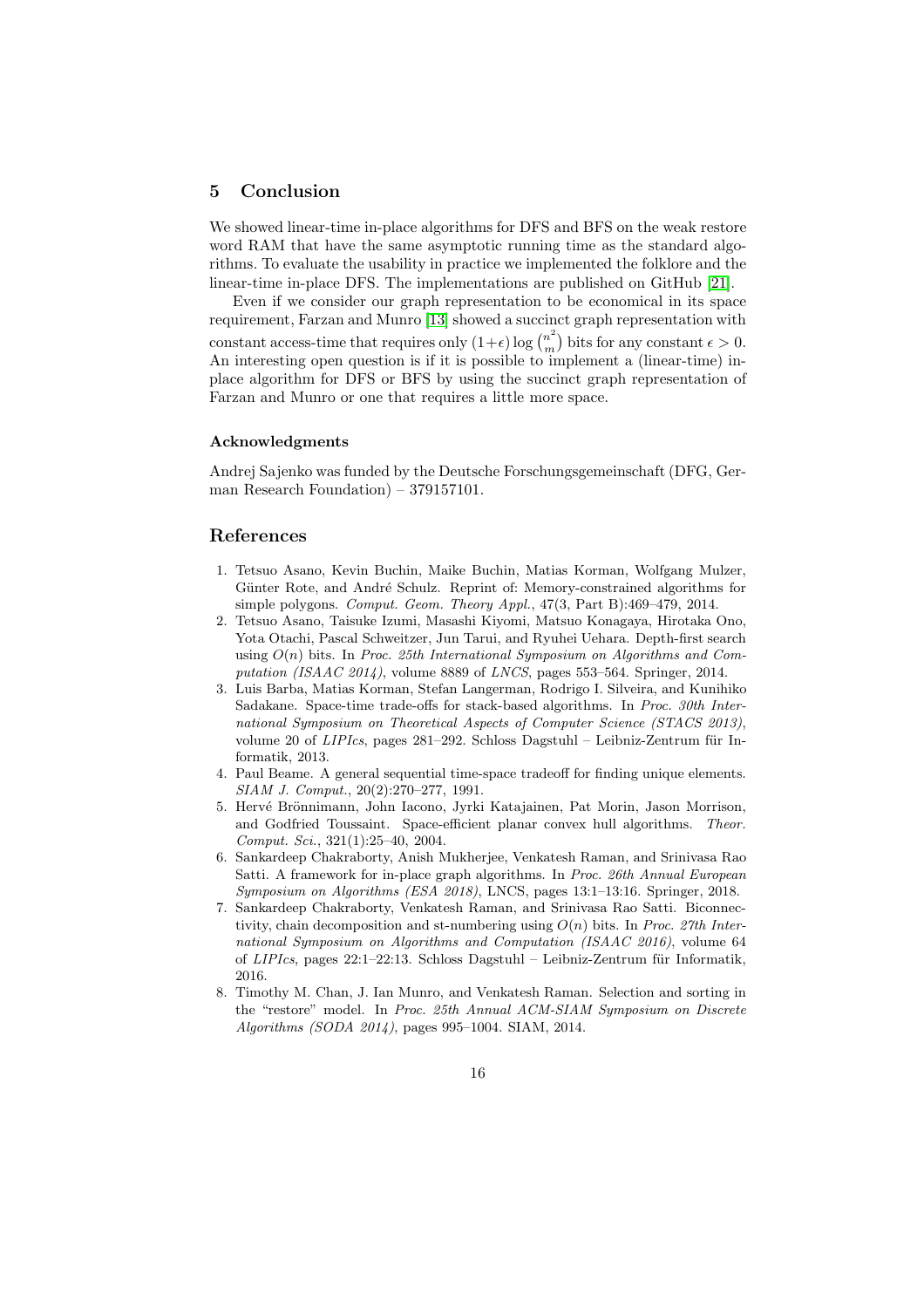### 5 Conclusion

We showed linear-time in-place algorithms for DFS and BFS on the weak restore word RAM that have the same asymptotic running time as the standard algorithms. To evaluate the usability in practice we implemented the folklore and the linear-time in-place DFS. The implementations are published on GitHub [\[21\]](#page-16-13).

Even if we consider our graph representation to be economical in its space requirement, Farzan and Munro [\[13\]](#page-16-14) showed a succinct graph representation with constant access-time that requires only  $(1+\epsilon)$  log  $\binom{n^2}{m}$  $\binom{n^2}{m}$  bits for any constant  $\epsilon > 0$ . An interesting open question is if it is possible to implement a (linear-time) inplace algorithm for DFS or BFS by using the succinct graph representation of Farzan and Munro or one that requires a little more space.

#### Acknowledgments

Andrej Sajenko was funded by the Deutsche Forschungsgemeinschaft (DFG, German Research Foundation) – 379157101.

## <span id="page-15-3"></span>References

- 1. Tetsuo Asano, Kevin Buchin, Maike Buchin, Matias Korman, Wolfgang Mulzer, Günter Rote, and André Schulz. Reprint of: Memory-constrained algorithms for simple polygons. Comput. Geom. Theory Appl., 47(3, Part B):469–479, 2014.
- <span id="page-15-5"></span>2. Tetsuo Asano, Taisuke Izumi, Masashi Kiyomi, Matsuo Konagaya, Hirotaka Ono, Yota Otachi, Pascal Schweitzer, Jun Tarui, and Ryuhei Uehara. Depth-first search using  $O(n)$  bits. In Proc. 25th International Symposium on Algorithms and Computation (ISAAC 2014), volume 8889 of LNCS, pages 553–564. Springer, 2014.
- <span id="page-15-4"></span>3. Luis Barba, Matias Korman, Stefan Langerman, Rodrigo I. Silveira, and Kunihiko Sadakane. Space-time trade-offs for stack-based algorithms. In Proc. 30th International Symposium on Theoretical Aspects of Computer Science (STACS 2013), volume 20 of  $LIPIs$ , pages  $281-292$ . Schloss Dagstuhl – Leibniz-Zentrum für Informatik, 2013.
- <span id="page-15-2"></span>4. Paul Beame. A general sequential time-space tradeoff for finding unique elements. SIAM J. Comput., 20(2):270–277, 1991.
- <span id="page-15-0"></span>5. Hervé Brönnimann, John Iacono, Jyrki Katajainen, Pat Morin, Jason Morrison, and Godfried Toussaint. Space-efficient planar convex hull algorithms. Theor. Comput. Sci., 321(1):25–40, 2004.
- <span id="page-15-7"></span>6. Sankardeep Chakraborty, Anish Mukherjee, Venkatesh Raman, and Srinivasa Rao Satti. A framework for in-place graph algorithms. In Proc. 26th Annual European Symposium on Algorithms (ESA 2018), LNCS, pages 13:1–13:16. Springer, 2018.
- <span id="page-15-6"></span>7. Sankardeep Chakraborty, Venkatesh Raman, and Srinivasa Rao Satti. Biconnectivity, chain decomposition and st-numbering using  $O(n)$  bits. In Proc. 27th International Symposium on Algorithms and Computation (ISAAC 2016), volume 64 of LIPIcs, pages 22:1-22:13. Schloss Dagstuhl - Leibniz-Zentrum für Informatik, 2016.
- <span id="page-15-1"></span>8. Timothy M. Chan, J. Ian Munro, and Venkatesh Raman. Selection and sorting in the "restore" model. In Proc. 25th Annual ACM-SIAM Symposium on Discrete Algorithms (SODA 2014), pages 995–1004. SIAM, 2014.